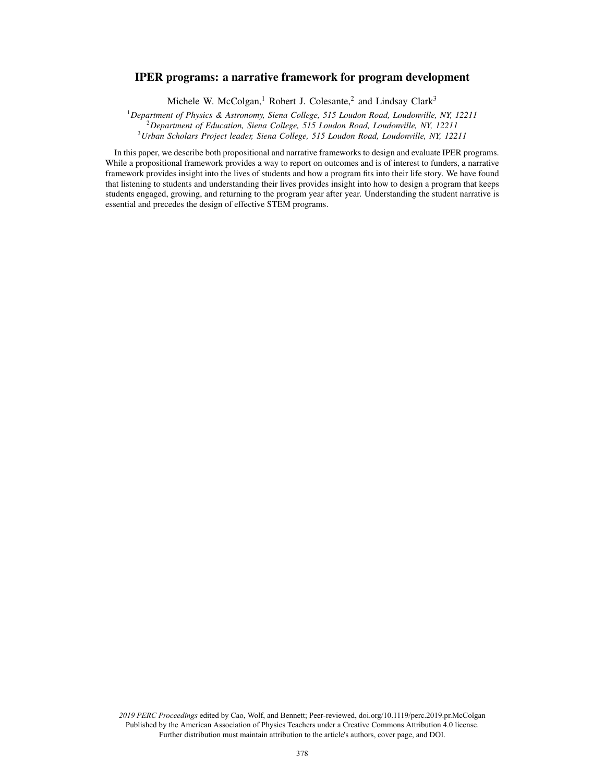# IPER programs: a narrative framework for program development

Michele W. McColgan,<sup>1</sup> Robert J. Colesante,<sup>2</sup> and Lindsay Clark<sup>3</sup>

<sup>1</sup>*Department of Physics & Astronomy, Siena College, 515 Loudon Road, Loudonville, NY, 12211* <sup>2</sup>*Department of Education, Siena College, 515 Loudon Road, Loudonville, NY, 12211* <sup>3</sup>*Urban Scholars Project leader, Siena College, 515 Loudon Road, Loudonville, NY, 12211*

In this paper, we describe both propositional and narrative frameworks to design and evaluate IPER programs. While a propositional framework provides a way to report on outcomes and is of interest to funders, a narrative framework provides insight into the lives of students and how a program fits into their life story. We have found that listening to students and understanding their lives provides insight into how to design a program that keeps students engaged, growing, and returning to the program year after year. Understanding the student narrative is essential and precedes the design of effective STEM programs.

*2019 PERC Proceedings* edited by Cao, Wolf, and Bennett; Peer-reviewed, doi.org/10.1119/perc.2019.pr.McColgan Published by the American Association of Physics Teachers under a Creative Commons Attribution 4.0 license. Further distribution must maintain attribution to the article's authors, cover page, and DOI.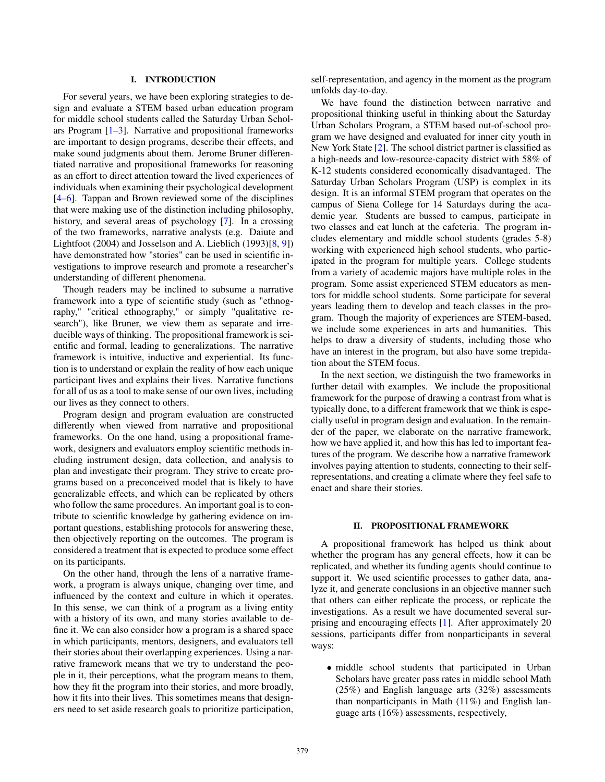# I. INTRODUCTION

For several years, we have been exploring strategies to design and evaluate a STEM based urban education program for middle school students called the Saturday Urban Scholars Program [1–3]. Narrative and propositional frameworks are important to design programs, describe their effects, and make sound judgments about them. Jerome Bruner differentiated narrative and propositional frameworks for reasoning as an effort to direct attention toward the lived experiences of individuals when examining their psychological development [4–6]. Tappan and Brown reviewed some of the disciplines that were making use of the distinction including philosophy, history, and several areas of psychology [7]. In a crossing of the two frameworks, narrative analysts (e.g. Daiute and Lightfoot (2004) and Josselson and A. Lieblich (1993)[8, 9]) have demonstrated how "stories" can be used in scientific investigations to improve research and promote a researcher's understanding of different phenomena.

Though readers may be inclined to subsume a narrative framework into a type of scientific study (such as "ethnography," "critical ethnography," or simply "qualitative research"), like Bruner, we view them as separate and irreducible ways of thinking. The propositional framework is scientific and formal, leading to generalizations. The narrative framework is intuitive, inductive and experiential. Its function is to understand or explain the reality of how each unique participant lives and explains their lives. Narrative functions for all of us as a tool to make sense of our own lives, including our lives as they connect to others.

Program design and program evaluation are constructed differently when viewed from narrative and propositional frameworks. On the one hand, using a propositional framework, designers and evaluators employ scientific methods including instrument design, data collection, and analysis to plan and investigate their program. They strive to create programs based on a preconceived model that is likely to have generalizable effects, and which can be replicated by others who follow the same procedures. An important goal is to contribute to scientific knowledge by gathering evidence on important questions, establishing protocols for answering these, then objectively reporting on the outcomes. The program is considered a treatment that is expected to produce some effect on its participants.

On the other hand, through the lens of a narrative framework, a program is always unique, changing over time, and influenced by the context and culture in which it operates. In this sense, we can think of a program as a living entity with a history of its own, and many stories available to define it. We can also consider how a program is a shared space in which participants, mentors, designers, and evaluators tell their stories about their overlapping experiences. Using a narrative framework means that we try to understand the people in it, their perceptions, what the program means to them, how they fit the program into their stories, and more broadly, how it fits into their lives. This sometimes means that designers need to set aside research goals to prioritize participation, self-representation, and agency in the moment as the program unfolds day-to-day.

We have found the distinction between narrative and propositional thinking useful in thinking about the Saturday Urban Scholars Program, a STEM based out-of-school program we have designed and evaluated for inner city youth in New York State [2]. The school district partner is classified as a high-needs and low-resource-capacity district with 58% of K-12 students considered economically disadvantaged. The Saturday Urban Scholars Program (USP) is complex in its design. It is an informal STEM program that operates on the campus of Siena College for 14 Saturdays during the academic year. Students are bussed to campus, participate in two classes and eat lunch at the cafeteria. The program includes elementary and middle school students (grades 5-8) working with experienced high school students, who participated in the program for multiple years. College students from a variety of academic majors have multiple roles in the program. Some assist experienced STEM educators as mentors for middle school students. Some participate for several years leading them to develop and teach classes in the program. Though the majority of experiences are STEM-based, we include some experiences in arts and humanities. This helps to draw a diversity of students, including those who have an interest in the program, but also have some trepidation about the STEM focus.

In the next section, we distinguish the two frameworks in further detail with examples. We include the propositional framework for the purpose of drawing a contrast from what is typically done, to a different framework that we think is especially useful in program design and evaluation. In the remainder of the paper, we elaborate on the narrative framework, how we have applied it, and how this has led to important features of the program. We describe how a narrative framework involves paying attention to students, connecting to their selfrepresentations, and creating a climate where they feel safe to enact and share their stories.

#### II. PROPOSITIONAL FRAMEWORK

A propositional framework has helped us think about whether the program has any general effects, how it can be replicated, and whether its funding agents should continue to support it. We used scientific processes to gather data, analyze it, and generate conclusions in an objective manner such that others can either replicate the process, or replicate the investigations. As a result we have documented several surprising and encouraging effects [1]. After approximately 20 sessions, participants differ from nonparticipants in several ways:

• middle school students that participated in Urban Scholars have greater pass rates in middle school Math (25%) and English language arts (32%) assessments than nonparticipants in Math (11%) and English language arts (16%) assessments, respectively,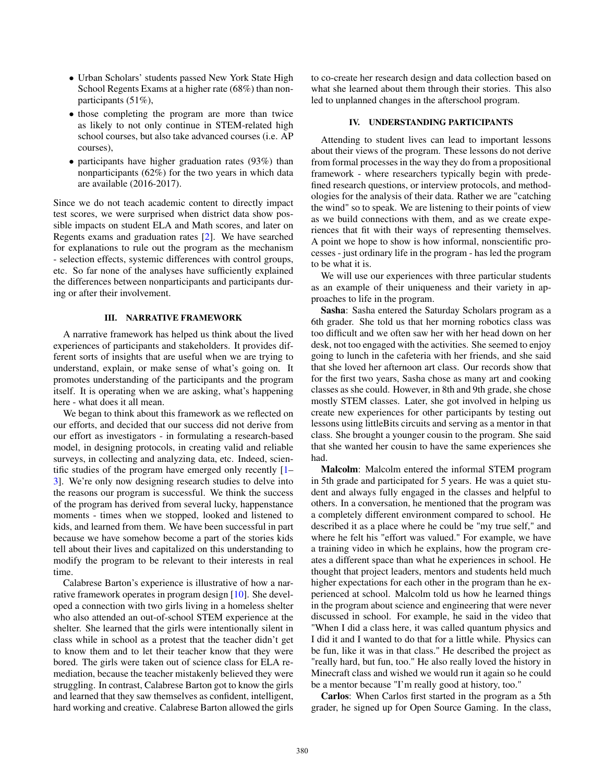- Urban Scholars' students passed New York State High School Regents Exams at a higher rate (68%) than nonparticipants (51%),
- those completing the program are more than twice as likely to not only continue in STEM-related high school courses, but also take advanced courses (i.e. AP courses),
- participants have higher graduation rates (93%) than nonparticipants (62%) for the two years in which data are available (2016-2017).

Since we do not teach academic content to directly impact test scores, we were surprised when district data show possible impacts on student ELA and Math scores, and later on Regents exams and graduation rates [2]. We have searched for explanations to rule out the program as the mechanism - selection effects, systemic differences with control groups, etc. So far none of the analyses have sufficiently explained the differences between nonparticipants and participants during or after their involvement.

### III. NARRATIVE FRAMEWORK

A narrative framework has helped us think about the lived experiences of participants and stakeholders. It provides different sorts of insights that are useful when we are trying to understand, explain, or make sense of what's going on. It promotes understanding of the participants and the program itself. It is operating when we are asking, what's happening here - what does it all mean.

We began to think about this framework as we reflected on our efforts, and decided that our success did not derive from our effort as investigators - in formulating a research-based model, in designing protocols, in creating valid and reliable surveys, in collecting and analyzing data, etc. Indeed, scientific studies of the program have emerged only recently [1– 3]. We're only now designing research studies to delve into the reasons our program is successful. We think the success of the program has derived from several lucky, happenstance moments - times when we stopped, looked and listened to kids, and learned from them. We have been successful in part because we have somehow become a part of the stories kids tell about their lives and capitalized on this understanding to modify the program to be relevant to their interests in real time.

Calabrese Barton's experience is illustrative of how a narrative framework operates in program design [10]. She developed a connection with two girls living in a homeless shelter who also attended an out-of-school STEM experience at the shelter. She learned that the girls were intentionally silent in class while in school as a protest that the teacher didn't get to know them and to let their teacher know that they were bored. The girls were taken out of science class for ELA remediation, because the teacher mistakenly believed they were struggling. In contrast, Calabrese Barton got to know the girls and learned that they saw themselves as confident, intelligent, hard working and creative. Calabrese Barton allowed the girls to co-create her research design and data collection based on what she learned about them through their stories. This also led to unplanned changes in the afterschool program.

# IV. UNDERSTANDING PARTICIPANTS

Attending to student lives can lead to important lessons about their views of the program. These lessons do not derive from formal processes in the way they do from a propositional framework - where researchers typically begin with predefined research questions, or interview protocols, and methodologies for the analysis of their data. Rather we are "catching the wind" so to speak. We are listening to their points of view as we build connections with them, and as we create experiences that fit with their ways of representing themselves. A point we hope to show is how informal, nonscientific processes - just ordinary life in the program - has led the program to be what it is.

We will use our experiences with three particular students as an example of their uniqueness and their variety in approaches to life in the program.

Sasha: Sasha entered the Saturday Scholars program as a 6th grader. She told us that her morning robotics class was too difficult and we often saw her with her head down on her desk, not too engaged with the activities. She seemed to enjoy going to lunch in the cafeteria with her friends, and she said that she loved her afternoon art class. Our records show that for the first two years, Sasha chose as many art and cooking classes as she could. However, in 8th and 9th grade, she chose mostly STEM classes. Later, she got involved in helping us create new experiences for other participants by testing out lessons using littleBits circuits and serving as a mentor in that class. She brought a younger cousin to the program. She said that she wanted her cousin to have the same experiences she had.

Malcolm: Malcolm entered the informal STEM program in 5th grade and participated for 5 years. He was a quiet student and always fully engaged in the classes and helpful to others. In a conversation, he mentioned that the program was a completely different environment compared to school. He described it as a place where he could be "my true self," and where he felt his "effort was valued." For example, we have a training video in which he explains, how the program creates a different space than what he experiences in school. He thought that project leaders, mentors and students held much higher expectations for each other in the program than he experienced at school. Malcolm told us how he learned things in the program about science and engineering that were never discussed in school. For example, he said in the video that "When I did a class here, it was called quantum physics and I did it and I wanted to do that for a little while. Physics can be fun, like it was in that class." He described the project as "really hard, but fun, too." He also really loved the history in Minecraft class and wished we would run it again so he could be a mentor because "I'm really good at history, too."

Carlos: When Carlos first started in the program as a 5th grader, he signed up for Open Source Gaming. In the class,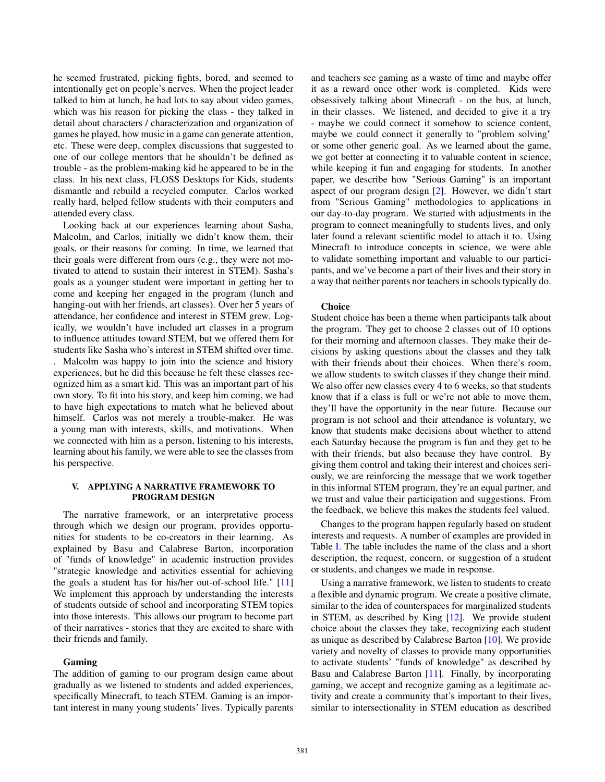he seemed frustrated, picking fights, bored, and seemed to intentionally get on people's nerves. When the project leader talked to him at lunch, he had lots to say about video games, which was his reason for picking the class - they talked in detail about characters / characterization and organization of games he played, how music in a game can generate attention, etc. These were deep, complex discussions that suggested to one of our college mentors that he shouldn't be defined as trouble - as the problem-making kid he appeared to be in the class. In his next class, FLOSS Desktops for Kids, students dismantle and rebuild a recycled computer. Carlos worked really hard, helped fellow students with their computers and attended every class.

Looking back at our experiences learning about Sasha, Malcolm, and Carlos, initially we didn't know them, their goals, or their reasons for coming. In time, we learned that their goals were different from ours (e.g., they were not motivated to attend to sustain their interest in STEM). Sasha's goals as a younger student were important in getting her to come and keeping her engaged in the program (lunch and hanging-out with her friends, art classes). Over her 5 years of attendance, her confidence and interest in STEM grew. Logically, we wouldn't have included art classes in a program to influence attitudes toward STEM, but we offered them for students like Sasha who's interest in STEM shifted over time.

. Malcolm was happy to join into the science and history experiences, but he did this because he felt these classes recognized him as a smart kid. This was an important part of his own story. To fit into his story, and keep him coming, we had to have high expectations to match what he believed about himself. Carlos was not merely a trouble-maker. He was a young man with interests, skills, and motivations. When we connected with him as a person, listening to his interests, learning about his family, we were able to see the classes from his perspective.

#### V. APPLYING A NARRATIVE FRAMEWORK TO PROGRAM DESIGN

The narrative framework, or an interpretative process through which we design our program, provides opportunities for students to be co-creators in their learning. As explained by Basu and Calabrese Barton, incorporation of "funds of knowledge" in academic instruction provides "strategic knowledge and activities essential for achieving the goals a student has for his/her out-of-school life." [11] We implement this approach by understanding the interests of students outside of school and incorporating STEM topics into those interests. This allows our program to become part of their narratives - stories that they are excited to share with their friends and family.

# Gaming

The addition of gaming to our program design came about gradually as we listened to students and added experiences, specifically Minecraft, to teach STEM. Gaming is an important interest in many young students' lives. Typically parents and teachers see gaming as a waste of time and maybe offer it as a reward once other work is completed. Kids were obsessively talking about Minecraft - on the bus, at lunch, in their classes. We listened, and decided to give it a try - maybe we could connect it somehow to science content, maybe we could connect it generally to "problem solving" or some other generic goal. As we learned about the game, we got better at connecting it to valuable content in science, while keeping it fun and engaging for students. In another paper, we describe how "Serious Gaming" is an important aspect of our program design [2]. However, we didn't start from "Serious Gaming" methodologies to applications in our day-to-day program. We started with adjustments in the program to connect meaningfully to students lives, and only later found a relevant scientific model to attach it to. Using Minecraft to introduce concepts in science, we were able to validate something important and valuable to our participants, and we've become a part of their lives and their story in a way that neither parents nor teachers in schools typically do.

#### **Choice**

Student choice has been a theme when participants talk about the program. They get to choose 2 classes out of 10 options for their morning and afternoon classes. They make their decisions by asking questions about the classes and they talk with their friends about their choices. When there's room, we allow students to switch classes if they change their mind. We also offer new classes every 4 to 6 weeks, so that students know that if a class is full or we're not able to move them, they'll have the opportunity in the near future. Because our program is not school and their attendance is voluntary, we know that students make decisions about whether to attend each Saturday because the program is fun and they get to be with their friends, but also because they have control. By giving them control and taking their interest and choices seriously, we are reinforcing the message that we work together in this informal STEM program, they're an equal partner, and we trust and value their participation and suggestions. From the feedback, we believe this makes the students feel valued.

Changes to the program happen regularly based on student interests and requests. A number of examples are provided in Table I. The table includes the name of the class and a short description, the request, concern, or suggestion of a student or students, and changes we made in response.

Using a narrative framework, we listen to students to create a flexible and dynamic program. We create a positive climate, similar to the idea of counterspaces for marginalized students in STEM, as described by King [12]. We provide student choice about the classes they take, recognizing each student as unique as described by Calabrese Barton [10]. We provide variety and novelty of classes to provide many opportunities to activate students' "funds of knowledge" as described by Basu and Calabrese Barton [11]. Finally, by incorporating gaming, we accept and recognize gaming as a legitimate activity and create a community that's important to their lives, similar to intersectionality in STEM education as described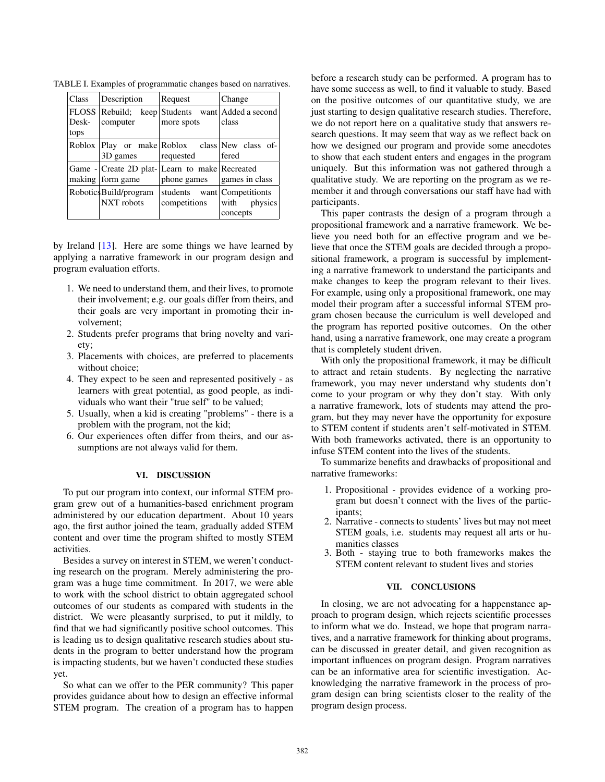| Class | Description            | Request                                              | Change          |
|-------|------------------------|------------------------------------------------------|-----------------|
|       |                        | FLOSS Rebuild; keep Students want Added a second     |                 |
| Desk- | computer               | more spots                                           | class           |
| tops  |                        |                                                      |                 |
|       |                        | Roblox   Play or make   Roblox class   New class of- |                 |
|       | 3D games               | requested                                            | fered           |
|       |                        | Game - Create 2D plat- Learn to make Recreated       |                 |
|       | making form game       | phone games                                          | games in class  |
|       | Robotics Build/program | students want Competitionts                          |                 |
|       | NXT robots             | competitions                                         | with<br>physics |
|       |                        |                                                      | concepts        |

TABLE I. Examples of programmatic changes based on narratives.

by Ireland [13]. Here are some things we have learned by applying a narrative framework in our program design and program evaluation efforts.

- 1. We need to understand them, and their lives, to promote their involvement; e.g. our goals differ from theirs, and their goals are very important in promoting their involvement;
- 2. Students prefer programs that bring novelty and variety;
- 3. Placements with choices, are preferred to placements without choice;
- 4. They expect to be seen and represented positively as learners with great potential, as good people, as individuals who want their "true self" to be valued;
- 5. Usually, when a kid is creating "problems" there is a problem with the program, not the kid;
- 6. Our experiences often differ from theirs, and our assumptions are not always valid for them.

### VI. DISCUSSION

To put our program into context, our informal STEM program grew out of a humanities-based enrichment program administered by our education department. About 10 years ago, the first author joined the team, gradually added STEM content and over time the program shifted to mostly STEM activities.

Besides a survey on interest in STEM, we weren't conducting research on the program. Merely administering the program was a huge time commitment. In 2017, we were able to work with the school district to obtain aggregated school outcomes of our students as compared with students in the district. We were pleasantly surprised, to put it mildly, to find that we had significantly positive school outcomes. This is leading us to design qualitative research studies about students in the program to better understand how the program is impacting students, but we haven't conducted these studies yet.

So what can we offer to the PER community? This paper provides guidance about how to design an effective informal STEM program. The creation of a program has to happen before a research study can be performed. A program has to have some success as well, to find it valuable to study. Based on the positive outcomes of our quantitative study, we are just starting to design qualitative research studies. Therefore, we do not report here on a qualitative study that answers research questions. It may seem that way as we reflect back on how we designed our program and provide some anecdotes to show that each student enters and engages in the program uniquely. But this information was not gathered through a qualitative study. We are reporting on the program as we remember it and through conversations our staff have had with participants.

This paper contrasts the design of a program through a propositional framework and a narrative framework. We believe you need both for an effective program and we believe that once the STEM goals are decided through a propositional framework, a program is successful by implementing a narrative framework to understand the participants and make changes to keep the program relevant to their lives. For example, using only a propositional framework, one may model their program after a successful informal STEM program chosen because the curriculum is well developed and the program has reported positive outcomes. On the other hand, using a narrative framework, one may create a program that is completely student driven.

With only the propositional framework, it may be difficult to attract and retain students. By neglecting the narrative framework, you may never understand why students don't come to your program or why they don't stay. With only a narrative framework, lots of students may attend the program, but they may never have the opportunity for exposure to STEM content if students aren't self-motivated in STEM. With both frameworks activated, there is an opportunity to infuse STEM content into the lives of the students.

To summarize benefits and drawbacks of propositional and narrative frameworks:

- 1. Propositional provides evidence of a working program but doesn't connect with the lives of the participants;
- 2. Narrative connects to students' lives but may not meet STEM goals, i.e. students may request all arts or humanities classes
- 3. Both staying true to both frameworks makes the STEM content relevant to student lives and stories

# VII. CONCLUSIONS

In closing, we are not advocating for a happenstance approach to program design, which rejects scientific processes to inform what we do. Instead, we hope that program narratives, and a narrative framework for thinking about programs, can be discussed in greater detail, and given recognition as important influences on program design. Program narratives can be an informative area for scientific investigation. Acknowledging the narrative framework in the process of program design can bring scientists closer to the reality of the program design process.